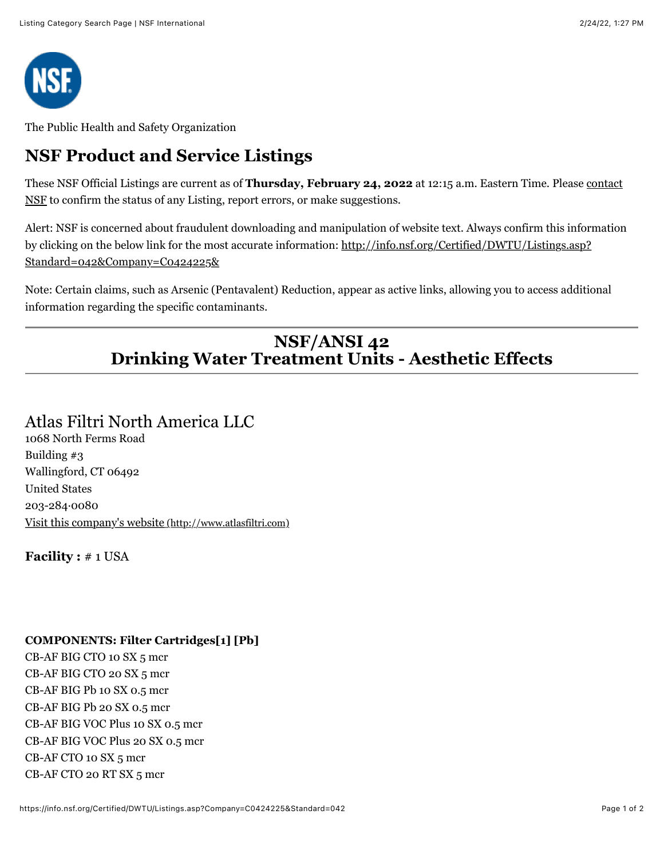

The Public Health and Safety Organization

## **NSF Product and Service Listings**

These NSF Official Listings are current as of **Thursday, February 24, 2022** at 12:15 a.m. Eastern Time. Please contact [NSF to confirm the status of any Listing, report errors, or make suggestions.](mailto:info@nsf.org)

Alert: NSF is concerned about fraudulent downloading and manipulation of website text. Always confirm this information [by clicking on the below link for the most accurate information: http://info.nsf.org/Certified/DWTU/Listings.asp?](http://info.nsf.org/Certified/DWTU/Listings.asp?Standard=042&Company=C0424225&) Standard=042&Company=C0424225&

Note: Certain claims, such as Arsenic (Pentavalent) Reduction, appear as active links, allowing you to access additional information regarding the specific contaminants.

## **NSF/ANSI 42 Drinking Water Treatment Units - Aesthetic Effects**

## Atlas Filtri North America LLC

1068 North Ferms Road Building #3 Wallingford, CT 06492 United States 203-284·0080 [Visit this company's website \(http://www.atlasfiltri.com\)](http://www.atlasfiltri.com/)

**Facility :** # 1 USA

## **COMPONENTS: Filter Cartridges[1] [Pb]**

CB-AF BIG CTO 10 SX 5 mcr CB-AF BIG CTO 20 SX 5 mcr CB-AF BIG Pb 10 SX 0.5 mcr CB-AF BIG Pb 20 SX 0.5 mcr CB-AF BIG VOC Plus 10 SX 0.5 mcr CB-AF BIG VOC Plus 20 SX 0.5 mcr CB-AF CTO 10 SX 5 mcr CB-AF CTO 20 RT SX 5 mcr